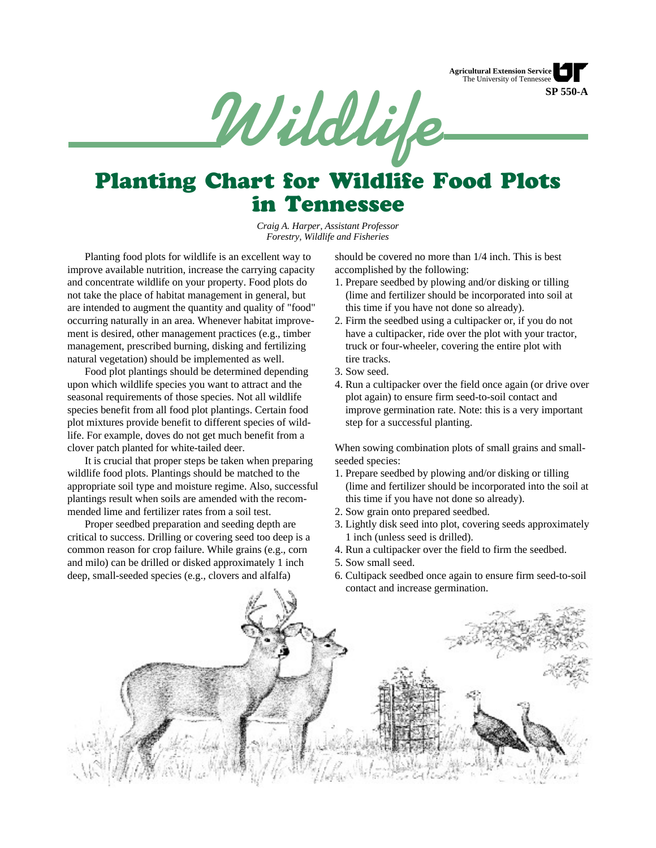



# Planting Chart for Wildlife Food Plots in Tennessee

*Craig A. Harper, Assistant Professor Forestry, Wildlife and Fisheries*

Planting food plots for wildlife is an excellent way to improve available nutrition, increase the carrying capacity and concentrate wildlife on your property. Food plots do not take the place of habitat management in general, but are intended to augment the quantity and quality of "food" occurring naturally in an area. Whenever habitat improvement is desired, other management practices (e.g., timber management, prescribed burning, disking and fertilizing natural vegetation) should be implemented as well.

Food plot plantings should be determined depending upon which wildlife species you want to attract and the seasonal requirements of those species. Not all wildlife species benefit from all food plot plantings. Certain food plot mixtures provide benefit to different species of wildlife. For example, doves do not get much benefit from a clover patch planted for white-tailed deer.

It is crucial that proper steps be taken when preparing wildlife food plots. Plantings should be matched to the appropriate soil type and moisture regime. Also, successful plantings result when soils are amended with the recommended lime and fertilizer rates from a soil test.

Proper seedbed preparation and seeding depth are critical to success. Drilling or covering seed too deep is a common reason for crop failure. While grains (e.g., corn and milo) can be drilled or disked approximately 1 inch deep, small-seeded species (e.g., clovers and alfalfa)

should be covered no more than 1/4 inch. This is best accomplished by the following:

- 1. Prepare seedbed by plowing and/or disking or tilling (lime and fertilizer should be incorporated into soil at this time if you have not done so already).
- 2. Firm the seedbed using a cultipacker or, if you do not have a cultipacker, ride over the plot with your tractor, truck or four-wheeler, covering the entire plot with tire tracks.
- 3. Sow seed.
- 4. Run a cultipacker over the field once again (or drive over plot again) to ensure firm seed-to-soil contact and improve germination rate. Note: this is a very important step for a successful planting.

When sowing combination plots of small grains and smallseeded species:

- 1. Prepare seedbed by plowing and/or disking or tilling (lime and fertilizer should be incorporated into the soil at this time if you have not done so already).
- 2. Sow grain onto prepared seedbed.
- 3. Lightly disk seed into plot, covering seeds approximately 1 inch (unless seed is drilled).
- 4. Run a cultipacker over the field to firm the seedbed.
- 5. Sow small seed.
- 6. Cultipack seedbed once again to ensure firm seed-to-soil contact and increase germination.

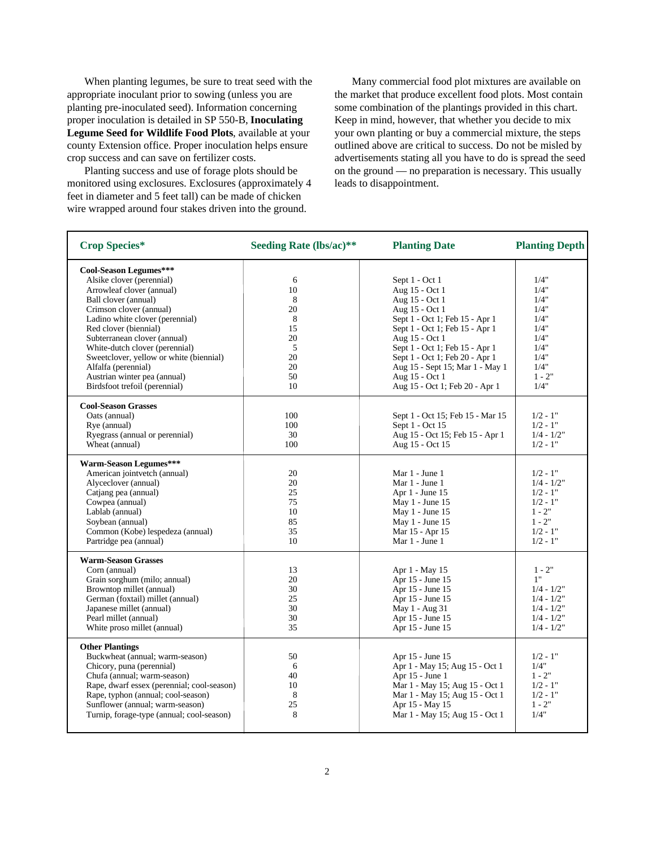When planting legumes, be sure to treat seed with the appropriate inoculant prior to sowing (unless you are planting pre-inoculated seed). Information concerning proper inoculation is detailed in SP 550-B, **Inoculating Legume Seed for Wildlife Food Plots**, available at your county Extension office. Proper inoculation helps ensure crop success and can save on fertilizer costs.

Planting success and use of forage plots should be monitored using exclosures. Exclosures (approximately 4 feet in diameter and 5 feet tall) can be made of chicken wire wrapped around four stakes driven into the ground.

Many commercial food plot mixtures are available on the market that produce excellent food plots. Most contain some combination of the plantings provided in this chart. Keep in mind, however, that whether you decide to mix your own planting or buy a commercial mixture, the steps outlined above are critical to success. Do not be misled by advertisements stating all you have to do is spread the seed on the ground — no preparation is necessary. This usually leads to disappointment.

| <b>Crop Species*</b>                       | Seeding Rate (lbs/ac)** | <b>Planting Date</b>             | <b>Planting Depth</b> |
|--------------------------------------------|-------------------------|----------------------------------|-----------------------|
| Cool-Season Legumes***                     |                         |                                  |                       |
| Alsike clover (perennial)                  | 6                       | Sept 1 - Oct 1                   | 1/4"                  |
| Arrowleaf clover (annual)                  | 10                      | Aug 15 - Oct 1                   | 1/4"                  |
| Ball clover (annual)                       | 8                       | Aug 15 - Oct 1                   | 1/4"                  |
| Crimson clover (annual)                    | 20                      | Aug 15 - Oct 1                   | 1/4"                  |
| Ladino white clover (perennial)            | 8                       | Sept 1 - Oct 1; Feb 15 - Apr 1   | 1/4"                  |
| Red clover (biennial)                      | 15                      | Sept 1 - Oct 1; Feb 15 - Apr 1   | 1/4"                  |
| Subterranean clover (annual)               | 20                      | Aug 15 - Oct 1                   | 1/4"                  |
| White-dutch clover (perennial)             | 5                       | Sept 1 - Oct 1; Feb 15 - Apr 1   | 1/4"                  |
| Sweetclover, yellow or white (biennial)    | 20                      | Sept 1 - Oct 1; Feb 20 - Apr 1   | 1/4"                  |
| Alfalfa (perennial)                        | 20                      | Aug 15 - Sept 15; Mar 1 - May 1  | 1/4"                  |
| Austrian winter pea (annual)               | 50                      | Aug 15 - Oct 1                   | $1 - 2"$              |
| Birdsfoot trefoil (perennial)              | 10                      | Aug 15 - Oct 1; Feb 20 - Apr 1   | 1/4"                  |
| <b>Cool-Season Grasses</b>                 |                         |                                  |                       |
| Oats (annual)                              | 100                     | Sept 1 - Oct 15; Feb 15 - Mar 15 | $1/2 - 1$ "           |
| Rye (annual)                               | 100                     | Sept 1 - Oct 15                  | $1/2 - 1$ "           |
| Ryegrass (annual or perennial)             | 30                      | Aug 15 - Oct 15; Feb 15 - Apr 1  | $1/4 - 1/2"$          |
| Wheat (annual)                             | 100                     | Aug 15 - Oct 15                  | $1/2 - 1"$            |
| Warm-Season Legumes***                     |                         |                                  |                       |
| American jointvetch (annual)               | 20                      | Mar 1 - June 1                   | $1/2 - 1"$            |
| Alyceclover (annual)                       | 20                      | Mar 1 - June 1                   | $1/4 - 1/2"$          |
| Catjang pea (annual)                       | 25                      | Apr 1 - June 15                  | $1/2 - 1"$            |
| Cowpea (annual)                            | 75                      | May 1 - June 15                  | $1/2 - 1$ "           |
| Lablab (annual)                            | 10                      | May 1 - June 15                  | $1 - 2"$              |
| Soybean (annual)                           | 85                      | May 1 - June 15                  | $1 - 2"$              |
| Common (Kobe) lespedeza (annual)           | 35                      | Mar 15 - Apr 15                  | $1/2 - 1"$            |
| Partridge pea (annual)                     | 10                      | Mar 1 - June 1                   | $1/2 - 1"$            |
| <b>Warm-Season Grasses</b>                 |                         |                                  |                       |
| Corn (annual)                              | 13                      | Apr 1 - May 15                   | $1 - 2"$              |
| Grain sorghum (milo; annual)               | 20                      | Apr 15 - June 15                 | 1"                    |
| Browntop millet (annual)                   | 30                      | Apr 15 - June 15                 | $1/4 - 1/2"$          |
| German (foxtail) millet (annual)           | 25                      | Apr 15 - June 15                 | $1/4 - 1/2"$          |
| Japanese millet (annual)                   | 30                      | May 1 - Aug 31                   | $1/4 - 1/2"$          |
| Pearl millet (annual)                      | 30                      | Apr 15 - June 15                 | $1/4 - 1/2"$          |
| White proso millet (annual)                | 35                      | Apr 15 - June 15                 | $1/4 - 1/2"$          |
| <b>Other Plantings</b>                     |                         |                                  |                       |
| Buckwheat (annual; warm-season)            | 50                      | Apr 15 - June 15                 | $1/2 - 1"$            |
| Chicory, puna (perennial)                  | 6                       | Apr 1 - May 15; Aug 15 - Oct 1   | 1/4"                  |
| Chufa (annual; warm-season)                | 40                      | Apr 15 - June 1                  | $1 - 2"$              |
| Rape, dwarf essex (perennial; cool-season) | 10                      | Mar 1 - May 15; Aug 15 - Oct 1   | $1/2 - 1"$            |
| Rape, typhon (annual; cool-season)         | 8                       | Mar 1 - May 15; Aug 15 - Oct 1   | $1/2 - 1"$            |
| Sunflower (annual; warm-season)            | 25                      | Apr 15 - May 15                  | $1 - 2"$              |
| Turnip, forage-type (annual; cool-season)  | 8                       | Mar 1 - May 15; Aug 15 - Oct 1   | 1/4"                  |
|                                            |                         |                                  |                       |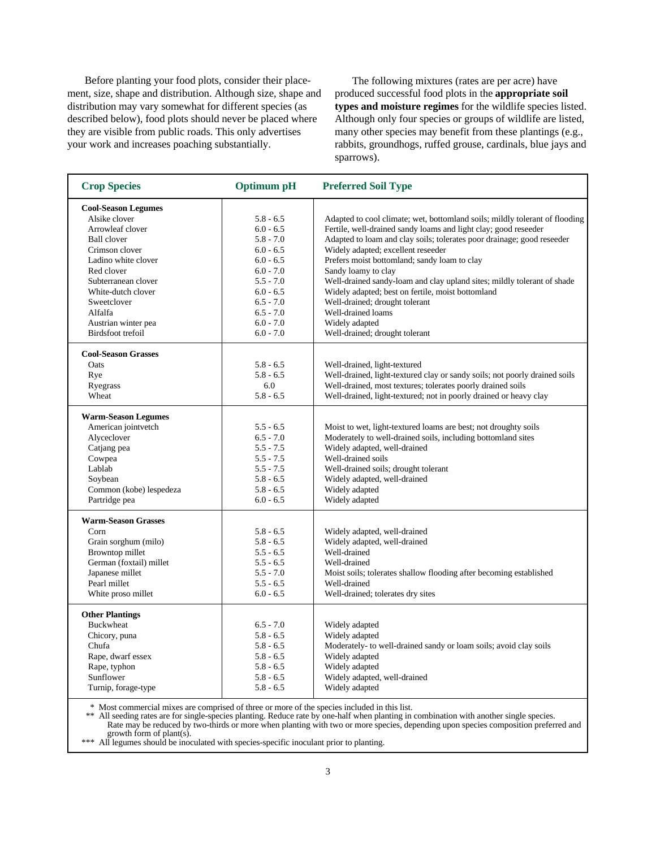Before planting your food plots, consider their placement, size, shape and distribution. Although size, shape and distribution may vary somewhat for different species (as described below), food plots should never be placed where they are visible from public roads. This only advertises your work and increases poaching substantially.

The following mixtures (rates are per acre) have produced successful food plots in the **appropriate soil types and moisture regimes** for the wildlife species listed. Although only four species or groups of wildlife are listed, many other species may benefit from these plantings (e.g., rabbits, groundhogs, ruffed grouse, cardinals, blue jays and sparrows).

| <b>Crop Species</b>        | Optimum pH  | <b>Preferred Soil Type</b>                                                  |
|----------------------------|-------------|-----------------------------------------------------------------------------|
| <b>Cool-Season Legumes</b> |             |                                                                             |
| Alsike clover              | $5.8 - 6.5$ | Adapted to cool climate; wet, bottomland soils; mildly tolerant of flooding |
| Arrowleaf clover           | $6.0 - 6.5$ | Fertile, well-drained sandy loams and light clay; good reseeder             |
| <b>Ball</b> clover         | $5.8 - 7.0$ | Adapted to loam and clay soils; tolerates poor drainage; good reseeder      |
| Crimson clover             | $6.0 - 6.5$ | Widely adapted; excellent reseeder                                          |
| Ladino white clover        | $6.0 - 6.5$ | Prefers moist bottomland; sandy loam to clay                                |
| Red clover                 | $6.0 - 7.0$ | Sandy loamy to clay                                                         |
| Subterranean clover        | $5.5 - 7.0$ | Well-drained sandy-loam and clay upland sites; mildly tolerant of shade     |
| White-dutch clover         | $6.0 - 6.5$ | Widely adapted; best on fertile, moist bottomland                           |
| Sweetclover                | $6.5 - 7.0$ | Well-drained; drought tolerant                                              |
| Alfalfa                    | $6.5 - 7.0$ | Well-drained loams                                                          |
| Austrian winter pea        | $6.0 - 7.0$ | Widely adapted                                                              |
| <b>Birdsfoot trefoil</b>   | $6.0 - 7.0$ | Well-drained; drought tolerant                                              |
| <b>Cool-Season Grasses</b> |             |                                                                             |
| Oats                       | $5.8 - 6.5$ | Well-drained, light-textured                                                |
| Rye                        | $5.8 - 6.5$ | Well-drained, light-textured clay or sandy soils; not poorly drained soils  |
| Ryegrass                   | 6.0         | Well-drained, most textures; tolerates poorly drained soils                 |
| Wheat                      | $5.8 - 6.5$ | Well-drained, light-textured; not in poorly drained or heavy clay           |
| <b>Warm-Season Legumes</b> |             |                                                                             |
| American jointvetch        | $5.5 - 6.5$ | Moist to wet, light-textured loams are best; not droughty soils             |
| Alyceclover                | $6.5 - 7.0$ | Moderately to well-drained soils, including bottomland sites                |
| Catjang pea                | $5.5 - 7.5$ | Widely adapted, well-drained                                                |
| Cowpea                     | $5.5 - 7.5$ | Well-drained soils                                                          |
| Lablab                     | $5.5 - 7.5$ | Well-drained soils; drought tolerant                                        |
| Soybean                    | $5.8 - 6.5$ | Widely adapted, well-drained                                                |
| Common (kobe) lespedeza    | $5.8 - 6.5$ | Widely adapted                                                              |
| Partridge pea              | $6.0 - 6.5$ | Widely adapted                                                              |
| <b>Warm-Season Grasses</b> |             |                                                                             |
| Corn                       | $5.8 - 6.5$ | Widely adapted, well-drained                                                |
| Grain sorghum (milo)       | $5.8 - 6.5$ | Widely adapted, well-drained                                                |
| Browntop millet            | $5.5 - 6.5$ | Well-drained                                                                |
| German (foxtail) millet    | $5.5 - 6.5$ | Well-drained                                                                |
| Japanese millet            | $5.5 - 7.0$ | Moist soils; tolerates shallow flooding after becoming established          |
| Pearl millet               | $5.5 - 6.5$ | Well-drained                                                                |
| White proso millet         | $6.0 - 6.5$ | Well-drained; tolerates dry sites                                           |
| <b>Other Plantings</b>     |             |                                                                             |
| <b>Buckwheat</b>           | $6.5 - 7.0$ | Widely adapted                                                              |
| Chicory, puna              | $5.8 - 6.5$ | Widely adapted                                                              |
| Chufa                      | $5.8 - 6.5$ | Moderately- to well-drained sandy or loam soils; avoid clay soils           |
| Rape, dwarf essex          | $5.8 - 6.5$ | Widely adapted                                                              |
| Rape, typhon               | $5.8 - 6.5$ | Widely adapted                                                              |
| Sunflower                  | $5.8 - 6.5$ | Widely adapted, well-drained                                                |
| Turnip, forage-type        | $5.8 - 6.5$ | Widely adapted                                                              |

\* Most commercial mixes are comprised of three or more of the species included in this list.

\*\* All seeding rates are for single-species planting. Reduce rate by one-half when planting in combination with another single species. Rate may be reduced by two-thirds or more when planting with two or more species, depending upon species composition preferred and growth form of plant(s).

\*\*\* All legumes should be inoculated with species-specific inoculant prior to planting.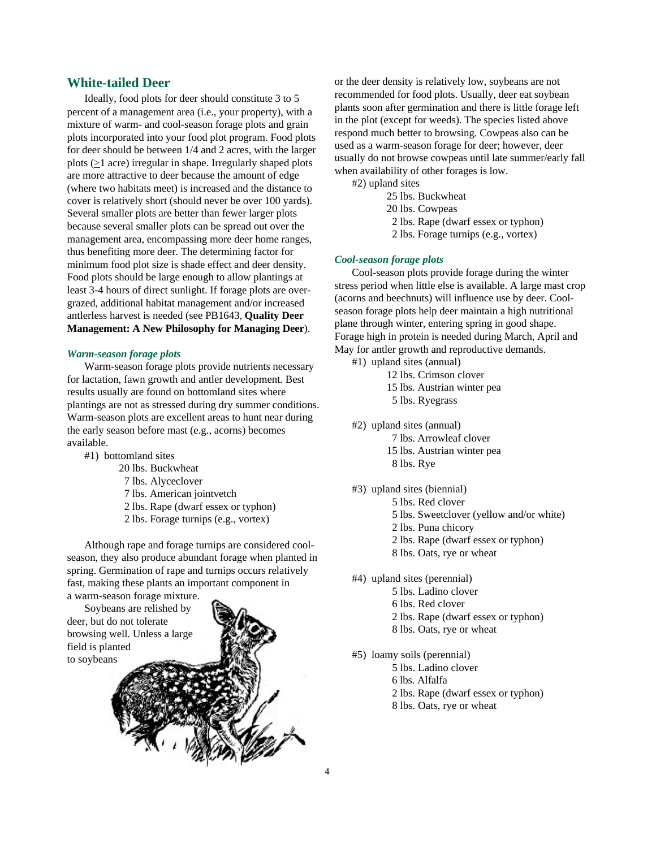# **White-tailed Deer**

Ideally, food plots for deer should constitute 3 to 5 percent of a management area (i.e., your property), with a mixture of warm- and cool-season forage plots and grain plots incorporated into your food plot program. Food plots for deer should be between 1/4 and 2 acres, with the larger plots (>1 acre) irregular in shape. Irregularly shaped plots are more attractive to deer because the amount of edge (where two habitats meet) is increased and the distance to cover is relatively short (should never be over 100 yards). Several smaller plots are better than fewer larger plots because several smaller plots can be spread out over the management area, encompassing more deer home ranges, thus benefiting more deer. The determining factor for minimum food plot size is shade effect and deer density. Food plots should be large enough to allow plantings at least 3-4 hours of direct sunlight. If forage plots are overgrazed, additional habitat management and/or increased antlerless harvest is needed (see PB1643, **Quality Deer Management: A New Philosophy for Managing Deer**).

#### *Warm-season forage plots*

Warm-season forage plots provide nutrients necessary for lactation, fawn growth and antler development. Best results usually are found on bottomland sites where plantings are not as stressed during dry summer conditions. Warm-season plots are excellent areas to hunt near during the early season before mast (e.g., acorns) becomes available.

- #1) bottomland sites
	- 20 lbs. Buckwheat
	- 7 lbs. Alyceclover
	- 7 lbs. American jointvetch
	- 2 lbs. Rape (dwarf essex or typhon)
	- 2 lbs. Forage turnips (e.g., vortex)

Although rape and forage turnips are considered coolseason, they also produce abundant forage when planted in spring. Germination of rape and turnips occurs relatively fast, making these plants an important component in a warm-season forage mixture.

Soybeans are relished by deer, but do not tolerate browsing well. Unless a large field is planted to soybeans



or the deer density is relatively low, soybeans are not recommended for food plots. Usually, deer eat soybean plants soon after germination and there is little forage left in the plot (except for weeds). The species listed above respond much better to browsing. Cowpeas also can be used as a warm-season forage for deer; however, deer usually do not browse cowpeas until late summer/early fall when availability of other forages is low.

#2) upland sites

25 lbs. Buckwheat

- 20 lbs. Cowpeas
- 2 lbs. Rape (dwarf essex or typhon)
- 2 lbs. Forage turnips (e.g., vortex)

#### *Cool-season forage plots*

Cool-season plots provide forage during the winter stress period when little else is available. A large mast crop (acorns and beechnuts) will influence use by deer. Coolseason forage plots help deer maintain a high nutritional plane through winter, entering spring in good shape. Forage high in protein is needed during March, April and May for antler growth and reproductive demands.

- #1) upland sites (annual)
	- 12 lbs. Crimson clover
	- 15 lbs. Austrian winter pea
	- 5 lbs. Ryegrass
- #2) upland sites (annual)
	- 7 lbs. Arrowleaf clover
		- 15 lbs. Austrian winter pea
		- 8 lbs. Rye
- #3) upland sites (biennial)
	- 5 lbs. Red clover
	- 5 lbs. Sweetclover (yellow and/or white)
	- 2 lbs. Puna chicory
	- 2 lbs. Rape (dwarf essex or typhon)
	- 8 lbs. Oats, rye or wheat
- #4) upland sites (perennial)
	- 5 lbs. Ladino clover
	- 6 lbs. Red clover
	- 2 lbs. Rape (dwarf essex or typhon)
	- 8 lbs. Oats, rye or wheat

#5) loamy soils (perennial)

- 5 lbs. Ladino clover
- 6 lbs. Alfalfa
- 2 lbs. Rape (dwarf essex or typhon)
- 8 lbs. Oats, rye or wheat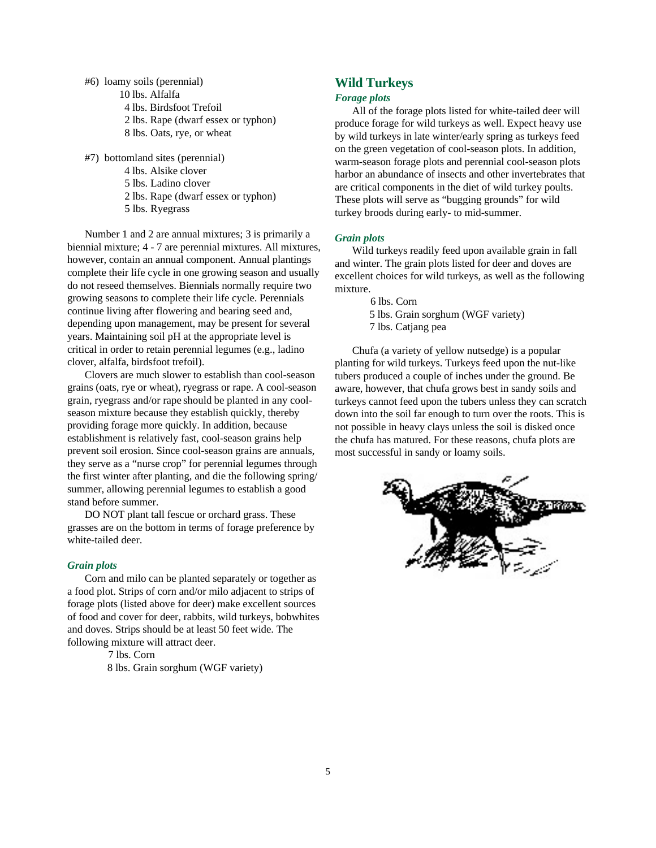- #6) loamy soils (perennial) 10 lbs. Alfalfa 4 lbs. Birdsfoot Trefoil 2 lbs. Rape (dwarf essex or typhon) 8 lbs. Oats, rye, or wheat
- #7) bottomland sites (perennial)
	- 4 lbs. Alsike clover
	- 5 lbs. Ladino clover
	- 2 lbs. Rape (dwarf essex or typhon)
	- 5 lbs. Ryegrass

Number 1 and 2 are annual mixtures; 3 is primarily a biennial mixture; 4 - 7 are perennial mixtures. All mixtures, however, contain an annual component. Annual plantings complete their life cycle in one growing season and usually do not reseed themselves. Biennials normally require two growing seasons to complete their life cycle. Perennials continue living after flowering and bearing seed and, depending upon management, may be present for several years. Maintaining soil pH at the appropriate level is critical in order to retain perennial legumes (e.g., ladino clover, alfalfa, birdsfoot trefoil).

Clovers are much slower to establish than cool-season grains (oats, rye or wheat), ryegrass or rape. A cool-season grain, ryegrass and/or rape should be planted in any coolseason mixture because they establish quickly, thereby providing forage more quickly. In addition, because establishment is relatively fast, cool-season grains help prevent soil erosion. Since cool-season grains are annuals, they serve as a "nurse crop" for perennial legumes through the first winter after planting, and die the following spring/ summer, allowing perennial legumes to establish a good stand before summer.

DO NOT plant tall fescue or orchard grass. These grasses are on the bottom in terms of forage preference by white-tailed deer.

#### *Grain plots*

Corn and milo can be planted separately or together as a food plot. Strips of corn and/or milo adjacent to strips of forage plots (listed above for deer) make excellent sources of food and cover for deer, rabbits, wild turkeys, bobwhites and doves. Strips should be at least 50 feet wide. The following mixture will attract deer.

7 lbs. Corn

8 lbs. Grain sorghum (WGF variety)

# **Wild Turkeys**

#### *Forage plots*

All of the forage plots listed for white-tailed deer will produce forage for wild turkeys as well. Expect heavy use by wild turkeys in late winter/early spring as turkeys feed on the green vegetation of cool-season plots. In addition, warm-season forage plots and perennial cool-season plots harbor an abundance of insects and other invertebrates that are critical components in the diet of wild turkey poults. These plots will serve as "bugging grounds" for wild turkey broods during early- to mid-summer.

#### *Grain plots*

Wild turkeys readily feed upon available grain in fall and winter. The grain plots listed for deer and doves are excellent choices for wild turkeys, as well as the following mixture.

> 6 lbs. Corn 5 lbs. Grain sorghum (WGF variety) 7 lbs. Catjang pea

Chufa (a variety of yellow nutsedge) is a popular planting for wild turkeys. Turkeys feed upon the nut-like tubers produced a couple of inches under the ground. Be aware, however, that chufa grows best in sandy soils and turkeys cannot feed upon the tubers unless they can scratch down into the soil far enough to turn over the roots. This is not possible in heavy clays unless the soil is disked once the chufa has matured. For these reasons, chufa plots are most successful in sandy or loamy soils.

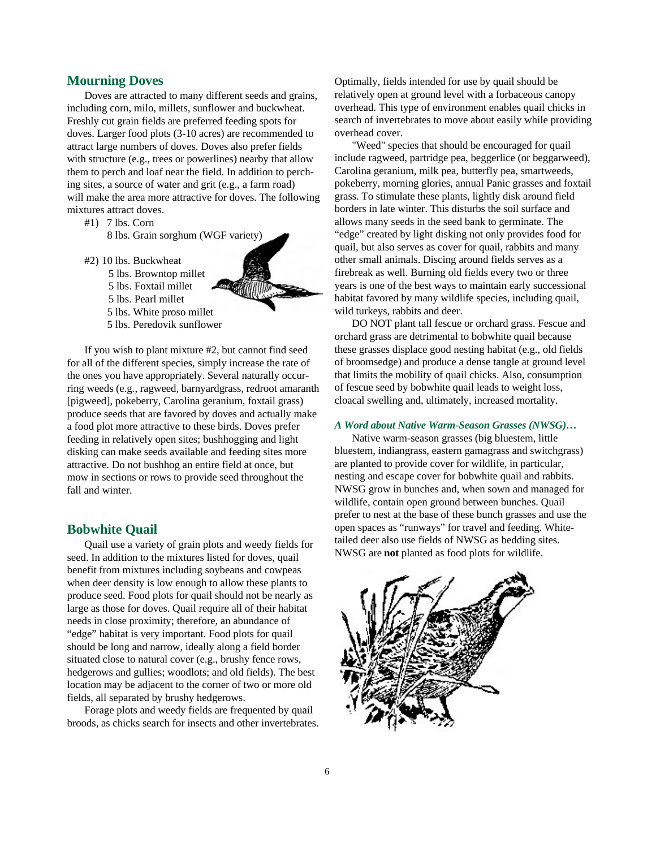#### **Mourning Doves**

Doves are attracted to many different seeds and grains, including corn, milo, millets, sunflower and buckwheat. Freshly cut grain fields are preferred feeding spots for doves. Larger food plots (3-10 acres) are recommended to attract large numbers of doves. Doves also prefer fields with structure (e.g., trees or powerlines) nearby that allow them to perch and loaf near the field. In addition to perching sites, a source of water and grit (e.g., a farm road) will make the area more attractive for doves. The following mixtures attract doves.

- #1) 7 lbs. Corn
	- 8 lbs. Grain sorghum (WGF variety)
- #2) 10 lbs. Buckwheat
	- 5 lbs. Browntop millet
	- 5 lbs. Foxtail millet
	- 5 lbs. Pearl millet



5 lbs. Peredovik sunflower

If you wish to plant mixture #2, but cannot find seed for all of the different species, simply increase the rate of the ones you have appropriately. Several naturally occurring weeds (e.g., ragweed, barnyardgrass, redroot amaranth [pigweed], pokeberry, Carolina geranium, foxtail grass) produce seeds that are favored by doves and actually make a food plot more attractive to these birds. Doves prefer feeding in relatively open sites; bushhogging and light disking can make seeds available and feeding sites more attractive. Do not bushhog an entire field at once, but mow in sections or rows to provide seed throughout the fall and winter.

### **Bobwhite Quail**

Quail use a variety of grain plots and weedy fields for seed. In addition to the mixtures listed for doves, quail benefit from mixtures including soybeans and cowpeas when deer density is low enough to allow these plants to produce seed. Food plots for quail should not be nearly as large as those for doves. Quail require all of their habitat needs in close proximity; therefore, an abundance of "edge" habitat is very important. Food plots for quail should be long and narrow, ideally along a field border situated close to natural cover (e.g., brushy fence rows, hedgerows and gullies; woodlots; and old fields). The best location may be adjacent to the corner of two or more old fields, all separated by brushy hedgerows.

Forage plots and weedy fields are frequented by quail broods, as chicks search for insects and other invertebrates. Optimally, fields intended for use by quail should be relatively open at ground level with a forbaceous canopy overhead. This type of environment enables quail chicks in search of invertebrates to move about easily while providing overhead cover.

"Weed" species that should be encouraged for quail include ragweed, partridge pea, beggerlice (or beggarweed), Carolina geranium, milk pea, butterfly pea, smartweeds, pokeberry, morning glories, annual Panic grasses and foxtail grass. To stimulate these plants, lightly disk around field borders in late winter. This disturbs the soil surface and allows many seeds in the seed bank to germinate. The "edge" created by light disking not only provides food for quail, but also serves as cover for quail, rabbits and many other small animals. Discing around fields serves as a firebreak as well. Burning old fields every two or three years is one of the best ways to maintain early successional habitat favored by many wildlife species, including quail, wild turkeys, rabbits and deer.

DO NOT plant tall fescue or orchard grass. Fescue and orchard grass are detrimental to bobwhite quail because these grasses displace good nesting habitat (e.g., old fields of broomsedge) and produce a dense tangle at ground level that limits the mobility of quail chicks. Also, consumption of fescue seed by bobwhite quail leads to weight loss, cloacal swelling and, ultimately, increased mortality.

#### *A Word about Native Warm-Season Grasses (NWSG)…*

Native warm-season grasses (big bluestem, little bluestem, indiangrass, eastern gamagrass and switchgrass) are planted to provide cover for wildlife, in particular, nesting and escape cover for bobwhite quail and rabbits. NWSG grow in bunches and, when sown and managed for wildlife, contain open ground between bunches. Quail prefer to nest at the base of these bunch grasses and use the open spaces as "runways" for travel and feeding. Whitetailed deer also use fields of NWSG as bedding sites. NWSG are **not** planted as food plots for wildlife.

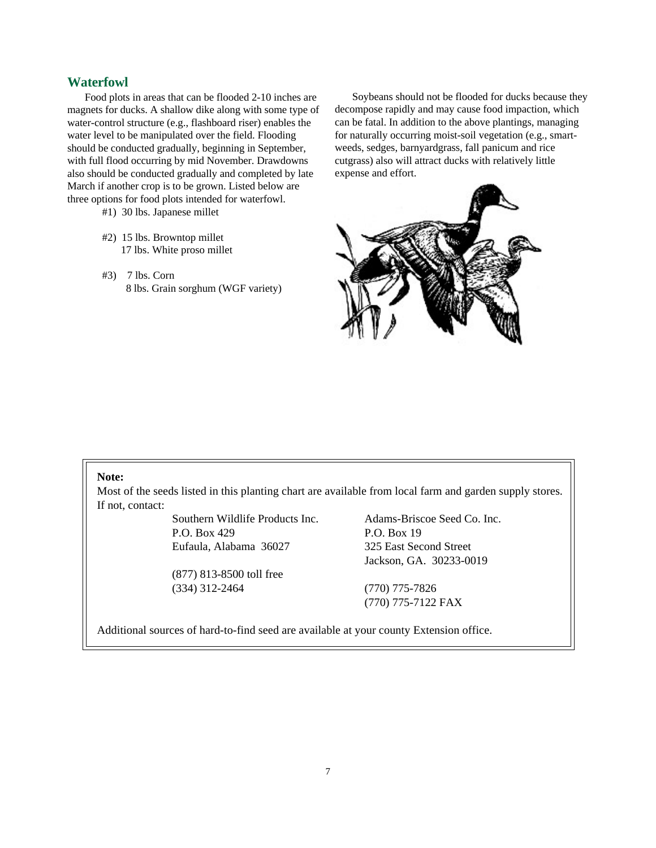# **Waterfowl**

Food plots in areas that can be flooded 2-10 inches are magnets for ducks. A shallow dike along with some type of water-control structure (e.g., flashboard riser) enables the water level to be manipulated over the field. Flooding should be conducted gradually, beginning in September, with full flood occurring by mid November. Drawdowns also should be conducted gradually and completed by late March if another crop is to be grown. Listed below are three options for food plots intended for waterfowl.

#1) 30 lbs. Japanese millet

- #2) 15 lbs. Browntop millet 17 lbs. White proso millet
- #3) 7 lbs. Corn 8 lbs. Grain sorghum (WGF variety)

Soybeans should not be flooded for ducks because they decompose rapidly and may cause food impaction, which can be fatal. In addition to the above plantings, managing for naturally occurring moist-soil vegetation (e.g., smartweeds, sedges, barnyardgrass, fall panicum and rice cutgrass) also will attract ducks with relatively little expense and effort.



#### **Note:**

Most of the seeds listed in this planting chart are available from local farm and garden supply stores. If not, contact:

> Southern Wildlife Products Inc. P.O. Box 429 Eufaula, Alabama 36027

 (877) 813-8500 toll free (334) 312-2464

Adams-Briscoe Seed Co. Inc. P.O. Box 19 325 East Second Street Jackson, GA. 30233-0019

(770) 775-7826 (770) 775-7122 FAX

Additional sources of hard-to-find seed are available at your county Extension office.